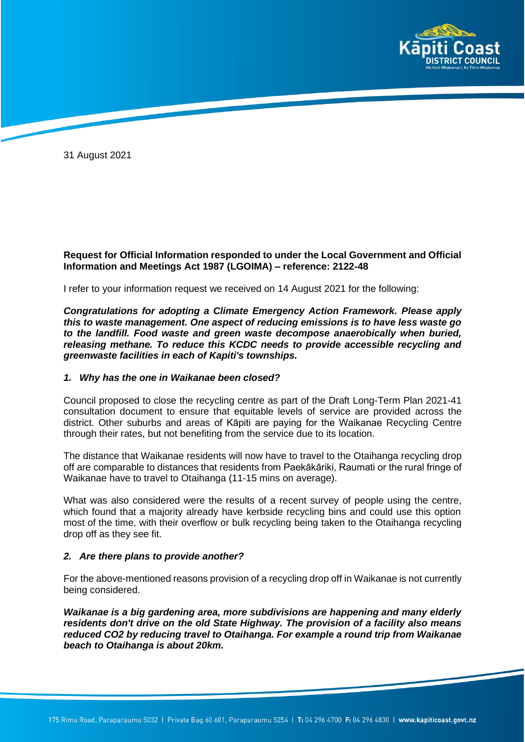

31 August 2021

# **Request for Official Information responded to under the Local Government and Official Information and Meetings Act 1987 (LGOIMA) – reference: 2122-48**

I refer to your information request we received on 14 August 2021 for the following:

*Congratulations for adopting a Climate Emergency Action Framework. Please apply this to waste management. One aspect of reducing emissions is to have less waste go to the landfill. Food waste and green waste decompose anaerobically when buried, releasing methane. To reduce this KCDC needs to provide accessible recycling and greenwaste facilities in each of Kapiti's townships.* 

### *1. Why has the one in Waikanae been closed?*

Council proposed to close the recycling centre as part of the Draft Long-Term Plan 2021-41 consultation document to ensure that equitable levels of service are provided across the district. Other suburbs and areas of Kāpiti are paying for the Waikanae Recycling Centre through their rates, but not benefiting from the service due to its location.

The distance that Waikanae residents will now have to travel to the Otaihanga recycling drop off are comparable to distances that residents from Paekākāriki, Raumati or the rural fringe of Waikanae have to travel to Otaihanga (11-15 mins on average).

What was also considered were the results of a recent survey of people using the centre, which found that a majority already have kerbside recycling bins and could use this option most of the time, with their overflow or bulk recycling being taken to the Otaihanga recycling drop off as they see fit.

### *2. Are there plans to provide another?*

For the above-mentioned reasons provision of a recycling drop off in Waikanae is not currently being considered.

*Waikanae is a big gardening area, more subdivisions are happening and many elderly residents don't drive on the old State Highway. The provision of a facility also means reduced CO2 by reducing travel to Otaihanga. For example a round trip from Waikanae beach to Otaihanga is about 20km.*